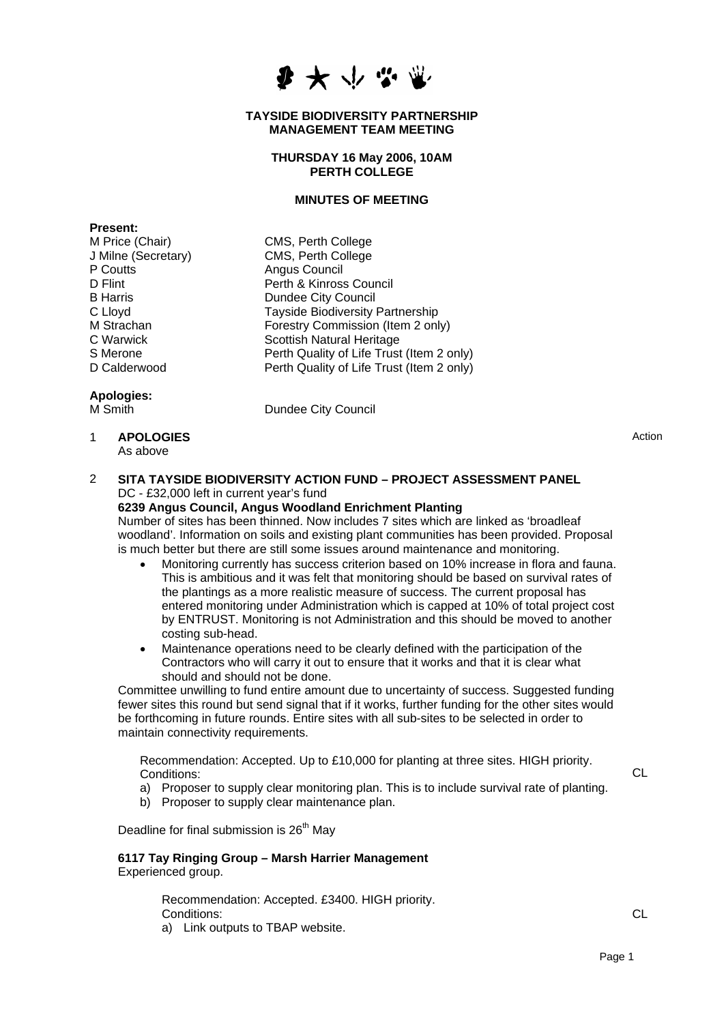

#### **TAYSIDE BIODIVERSITY PARTNERSHIP MANAGEMENT TEAM MEETING**

# **THURSDAY 16 May 2006, 10AM PERTH COLLEGE**

# **MINUTES OF MEETING**

**Present:**  M Price (Chair) CMS, Perth College P Coutts **Angus Council** 

J Milne (Secretary) CMS, Perth College D Flint **Perth & Kinross Council** B Harris **Dundee City Council** C Lloyd<br>
M Strachan 
Tayside Biodiversity Partnership<br>
Forestry Commission (Item 2 onl M Strachan Forestry Commission (Item 2 only)<br>C Warwick Scottish Natural Heritage Scottish Natural Heritage S Merone **Perth Quality of Life Trust (Item 2 only)**<br>D Calderwood **Perth Quality of Life Trust (Item 2 only)** Perth Quality of Life Trust (Item 2 only)

# **Apologies:**

M Smith **Dundee City Council** 

1 **APOLOGIES**  As above

Action

# 2 **SITA TAYSIDE BIODIVERSITY ACTION FUND – PROJECT ASSESSMENT PANEL**  DC - £32,000 left in current year's fund

# **6239 Angus Council, Angus Woodland Enrichment Planting**

Number of sites has been thinned. Now includes 7 sites which are linked as 'broadleaf woodland'. Information on soils and existing plant communities has been provided. Proposal is much better but there are still some issues around maintenance and monitoring.

- Monitoring currently has success criterion based on 10% increase in flora and fauna. This is ambitious and it was felt that monitoring should be based on survival rates of the plantings as a more realistic measure of success. The current proposal has entered monitoring under Administration which is capped at 10% of total project cost by ENTRUST. Monitoring is not Administration and this should be moved to another costing sub-head.
- Maintenance operations need to be clearly defined with the participation of the Contractors who will carry it out to ensure that it works and that it is clear what should and should not be done.

Committee unwilling to fund entire amount due to uncertainty of success. Suggested funding fewer sites this round but send signal that if it works, further funding for the other sites would be forthcoming in future rounds. Entire sites with all sub-sites to be selected in order to maintain connectivity requirements.

Recommendation: Accepted. Up to £10,000 for planting at three sites. HIGH priority. Conditions:

- a) Proposer to supply clear monitoring plan. This is to include survival rate of planting.
- b) Proposer to supply clear maintenance plan.

Deadline for final submission is 26<sup>th</sup> May

## **6117 Tay Ringing Group – Marsh Harrier Management**  Experienced group.

Recommendation: Accepted. £3400. HIGH priority. Conditions: a) Link outputs to TBAP website.

CL

**CL**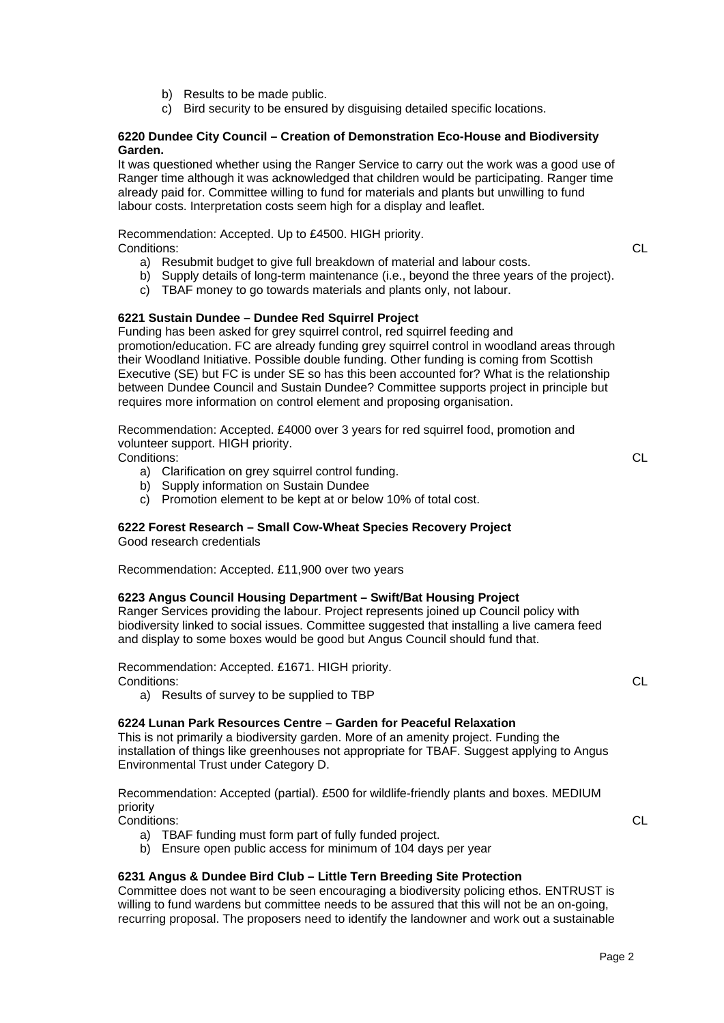- b) Results to be made public.
- c) Bird security to be ensured by disguising detailed specific locations.

# **220 Dundee City Council – Creation of Demonstration Eco-House and Biodiversity 6 Garden.**

It was questioned whether using the Ranger Service to carry out the work was a good use of Ranger time although it was acknowledged that children would be participating. Ranger time already paid for. Committee willing to fund for materials and plants but unwilling to fund labour costs. Interpretation costs seem high for a display and leaflet.

Recommendation: Accepted. Up to £4500. HIGH priority. Conditions:

- a) Resubmit budget to give full breakdown of material and labour costs.
- b) Supply details of long-term maintenance (i.e., beyond the three years of the project).
- c) TBAF money to go towards materials and plants only, not labour.

# **221 Sustain Dundee – Dundee Red Squirrel Project 6**

Funding has been asked for grey squirrel control, red squirrel feeding and promotion/education. FC are already funding grey squirrel control in woodland areas through Executive (SE) but FC is under SE so has this been accounted for? What is the relationship their Woodland Initiative. Possible double funding. Other funding is coming from Scottish between Dundee Council and Sustain Dundee? Committee supports project in principle but requires more information on control element and proposing organisation.

Recommendation: Accepted. £4000 over 3 years for red squirrel food, promotion and volunteer support. HIGH priority.

Conditions:

- a) Clarification on grey squirrel control funding.
- b) Supply information on Sustain Dundee
- c) Promotion element to be kept at or below 10% of total cost.

# **222 Forest Research – Small Cow-Wheat Species Recovery Project 6**

Good research credentials

Recommendation: Accepted. £11,900 over two years

# **223 Angus Council Housing Department – Swift/Bat Housing Project 6**

Ranger Services providing the labour. Project represents joined up Council policy with biodiversity linked to social issues. Committee suggested that installing a live camera feed and display to some boxes would be good but Angus Council should fund that.

Recommendation: Accepted. £1671. HIGH priority. Conditions:

a) Results of survey to be supplied to TBP

# **224 Lunan Park Resources Centre – Garden for Peaceful Relaxation 6**

This is not primarily a biodiversity garden. More of an amenity project. Funding the installation of things like greenhouses not appropriate for TBAF. Suggest applying to Angus Environmental Trust under Category D.

Recommendation: Accepted (partial). £500 for wildlife-friendly plants and boxes. MEDIUM priority

Conditions:

- a) TBAF funding must form part of fully funded project.
- b) Ensure open public access for minimum of 104 days per year

# **231 Angus & Dundee Bird Club – Little Tern Breeding Site Protection 6**

Committee does not want to be seen encouraging a biodiversity policing ethos. ENTRUST is willing to fund wardens but committee needs to be assured that this will not be an on-going, recurring proposal. The proposers need to identify the landowner and work out a sustainable L C

L C

L C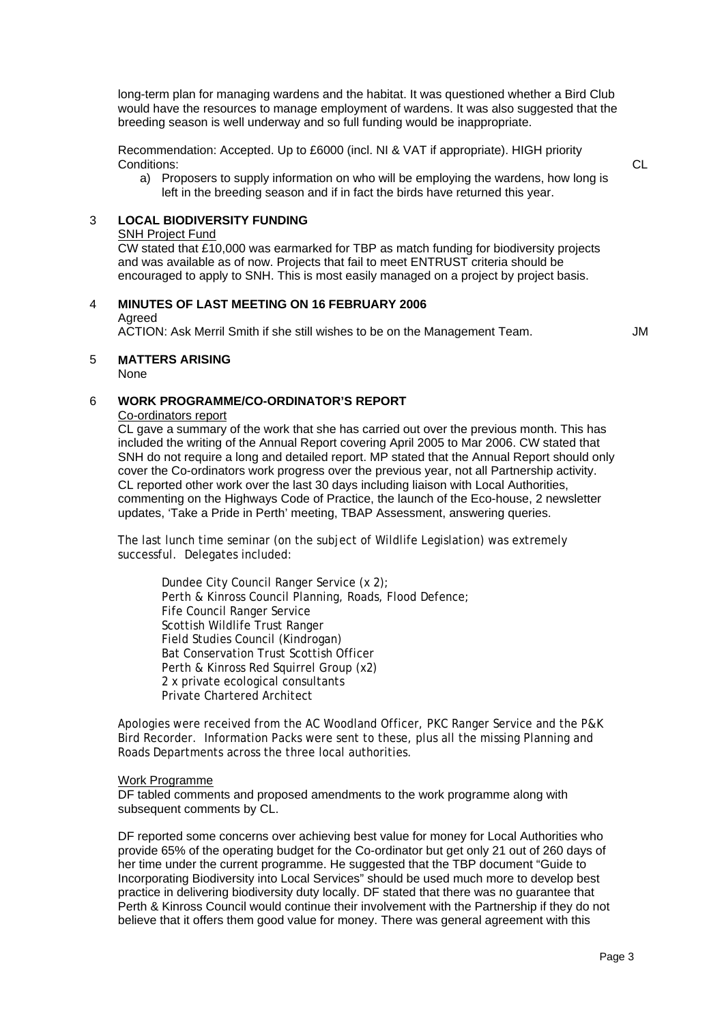long-term plan for managing wardens and the habitat. It was questioned whether a Bird Club would have the resources to manage employment of wardens. It was also suggested that the breeding season is well underway and so full funding would be inappropriate.

Recommendation: Accepted. Up to £6000 (incl. NI & VAT if appropriate). HIGH priority Conditions:

a) Proposers to supply information on who will be employing the wardens, how long is left in the breeding season and if in fact the birds have returned this year.

# **3** LOCAL BIODIVERSITY FUNDING

#### SNH Project Fund

CW stated that £10,000 was earmarked for TBP as match funding for biodiversity projects encouraged to apply to SNH. This is most easily managed on a project by project basis. and was available as of now. Projects that fail to meet ENTRUST criteria should be

# 4 **INUTES OF LAST MEETING ON 16 FEBRUARY 2006 M**

#### Agreed

ACTION: Ask Merril Smith if she still wishes to be on the Management Team. M M M

# 5 **MATTERS ARISING**

None

# 6 **WORK PROGRAMME/CO-ORDINATOR'S REPORT**

# Co-ordinators report

CL gave a summary of the work that she has carried out over the previous month. This has SNH do not require a long and detailed report. MP stated that the Annual Report should only commenting on the Highways Code of Practice, the launch of the Eco-house, 2 newsletter included the writing of the Annual Report covering April 2005 to Mar 2006. CW stated that cover the Co-ordinators work progress over the previous year, not all Partnership activity. CL reported other work over the last 30 days including liaison with Local Authorities, updates, 'Take a Pride in Perth' meeting, TBAP Assessment, answering queries.

The last lunch time seminar (on the subject of Wildlife Legislation) was extremely successful. Delegates included:

Dundee City Council Ranger Service (x 2); Perth & Kinross Council Planning, Roads, Flood Defence; Scottish Wildlife Trust Ranger Field Studies Council (Kindrogan) Bat Conservation Trust Scottish Officer Fife Council Ranger Service Perth & Kinross Red Squirrel Group (x2) 2 x private ecological consultants Private Chartered Architect

Apologies were received from the AC Woodland Officer, PKC Ranger Service and the P&K Bird Recorder. Information Packs were sent to these, plus all the missing Planning and Roads Departments across the three local authorities.

#### Work Programme

DF tabled comments and proposed amendments to the work programme along with subsequent comments by CL.

DF reported some concerns over achieving best value for money for Local Authorities who Perth & Kinross Council would continue their involvement with the Partnership if they do not provide 65% of the operating budget for the Co-ordinator but get only 21 out of 260 days of her time under the current programme. He suggested that the TBP document "Guide to Incorporating Biodiversity into Local Services" should be used much more to develop best practice in delivering biodiversity duty locally. DF stated that there was no guarantee that believe that it offers them good value for money. There was general agreement with this

L C